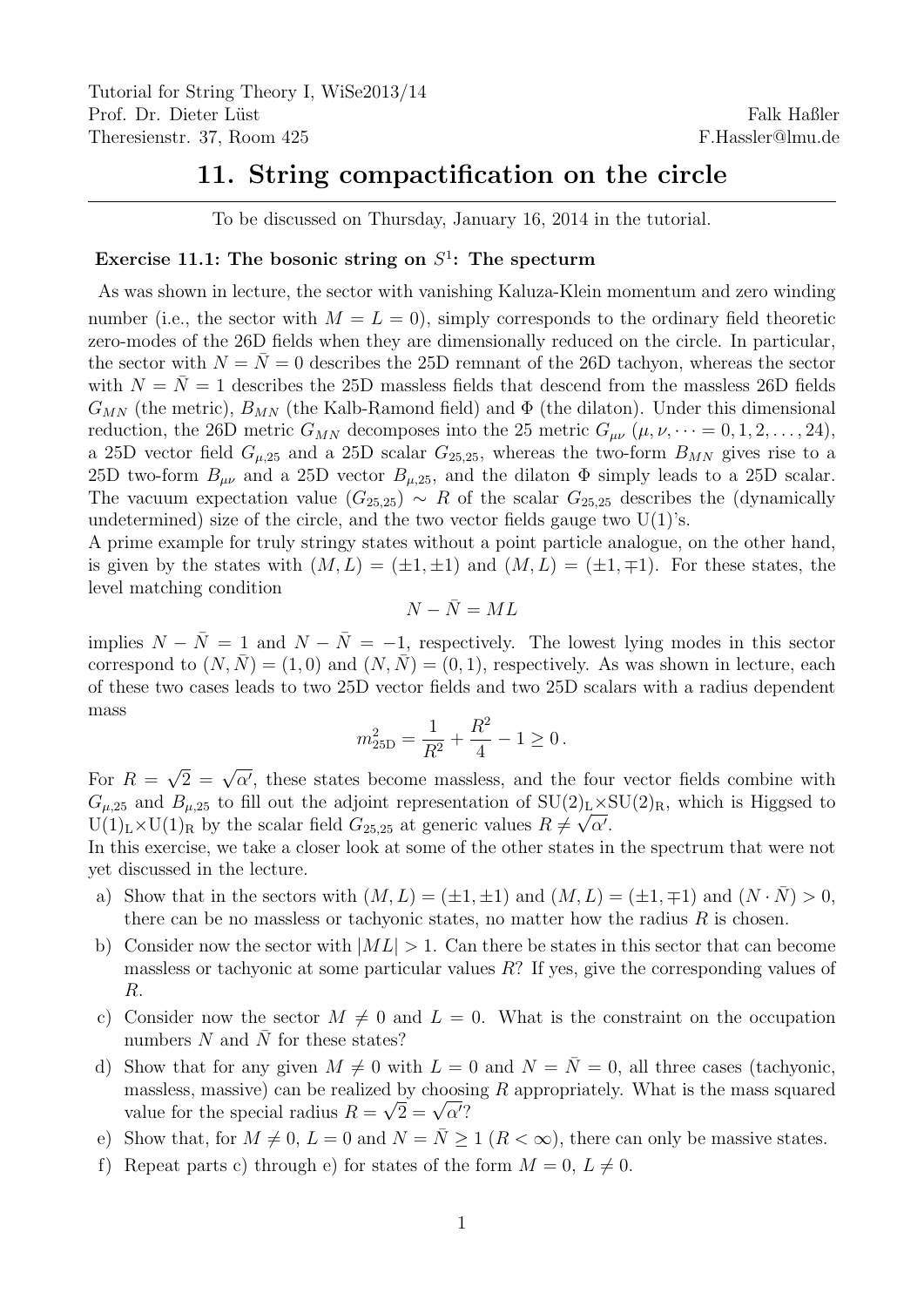## 11. String compactification on the circle

To be discussed on Thursday, January 16, 2014 in the tutorial.

## Exercise 11.1: The bosonic string on  $S^1$ : The specturm

As was shown in lecture, the sector with vanishing Kaluza-Klein momentum and zero winding number (i.e., the sector with  $M = L = 0$ ), simply corresponds to the ordinary field theoretic zero-modes of the 26D fields when they are dimensionally reduced on the circle. In particular, the sector with  $N = \overline{N} = 0$  describes the 25D remnant of the 26D tachyon, whereas the sector with  $N = \overline{N} = 1$  describes the 25D massless fields that descend from the massless 26D fields  $G_{MN}$  (the metric),  $B_{MN}$  (the Kalb-Ramond field) and  $\Phi$  (the dilaton). Under this dimensional reduction, the 26D metric  $G_{MN}$  decomposes into the 25 metric  $G_{\mu\nu}$   $(\mu, \nu, \dots = 0, 1, 2, \dots, 24)$ , a 25D vector field  $G_{\mu,25}$  and a 25D scalar  $G_{25,25}$ , whereas the two-form  $B_{MN}$  gives rise to a 25D two-form  $B_{\mu\nu}$  and a 25D vector  $B_{\mu,25}$ , and the dilaton  $\Phi$  simply leads to a 25D scalar. The vacuum expectation value  $(G_{25,25}) \sim R$  of the scalar  $G_{25,25}$  describes the (dynamically undetermined) size of the circle, and the two vector fields gauge two  $U(1)$ 's.

A prime example for truly stringy states without a point particle analogue, on the other hand, is given by the states with  $(M, L) = (\pm 1, \pm 1)$  and  $(M, L) = (\pm 1, \mp 1)$ . For these states, the level matching condition

$$
N-\bar{N}=ML
$$

implies  $N - \overline{N} = 1$  and  $N - \overline{N} = -1$ , respectively. The lowest lying modes in this sector correspond to  $(N, \overline{N}) = (1, 0)$  and  $(N, \overline{N}) = (0, 1)$ , respectively. As was shown in lecture, each of these two cases leads to two 25D vector fields and two 25D scalars with a radius dependent mass

$$
m_{25\text{D}}^2 = \frac{1}{R^2} + \frac{R^2}{4} - 1 \ge 0.
$$

For  $R =$  $\sqrt{2} = \sqrt{\alpha'}$ , these states become massless, and the four vector fields combine with  $G_{\mu,25}$  and  $B_{\mu,25}$  to fill out the adjoint representation of  $SU(2)_L \times SU(2)_R$ , which is Higgsed to  $U(1)_L \times U(1)_R$  by the scalar field  $G_{25,25}$  at generic values  $R \neq \sqrt{\alpha'}$ .

In this exercise, we take a closer look at some of the other states in the spectrum that were not yet discussed in the lecture.

- a) Show that in the sectors with  $(M, L) = (\pm 1, \pm 1)$  and  $(M, L) = (\pm 1, \mp 1)$  and  $(N \cdot \bar{N}) > 0$ , there can be no massless or tachyonic states, no matter how the radius  $R$  is chosen.
- b) Consider now the sector with  $|M L| > 1$ . Can there be states in this sector that can become massless or tachyonic at some particular values R? If yes, give the corresponding values of R.
- c) Consider now the sector  $M \neq 0$  and  $L = 0$ . What is the constraint on the occupation numbers  $N$  and  $N$  for these states?
- d) Show that for any given  $M \neq 0$  with  $L = 0$  and  $N = \overline{N} = 0$ , all three cases (tachyonic, massless, massive) can be realized by choosing R appropriately. What is the mass squared massiess, massive) can be realized by choosi<br>value for the special radius  $R = \sqrt{2} = \sqrt{\alpha'}$ ?
- e) Show that, for  $M \neq 0$ ,  $L = 0$  and  $N = \overline{N} \geq 1$   $(R < \infty)$ , there can only be massive states.
- f) Repeat parts c) through e) for states of the form  $M = 0, L \neq 0$ .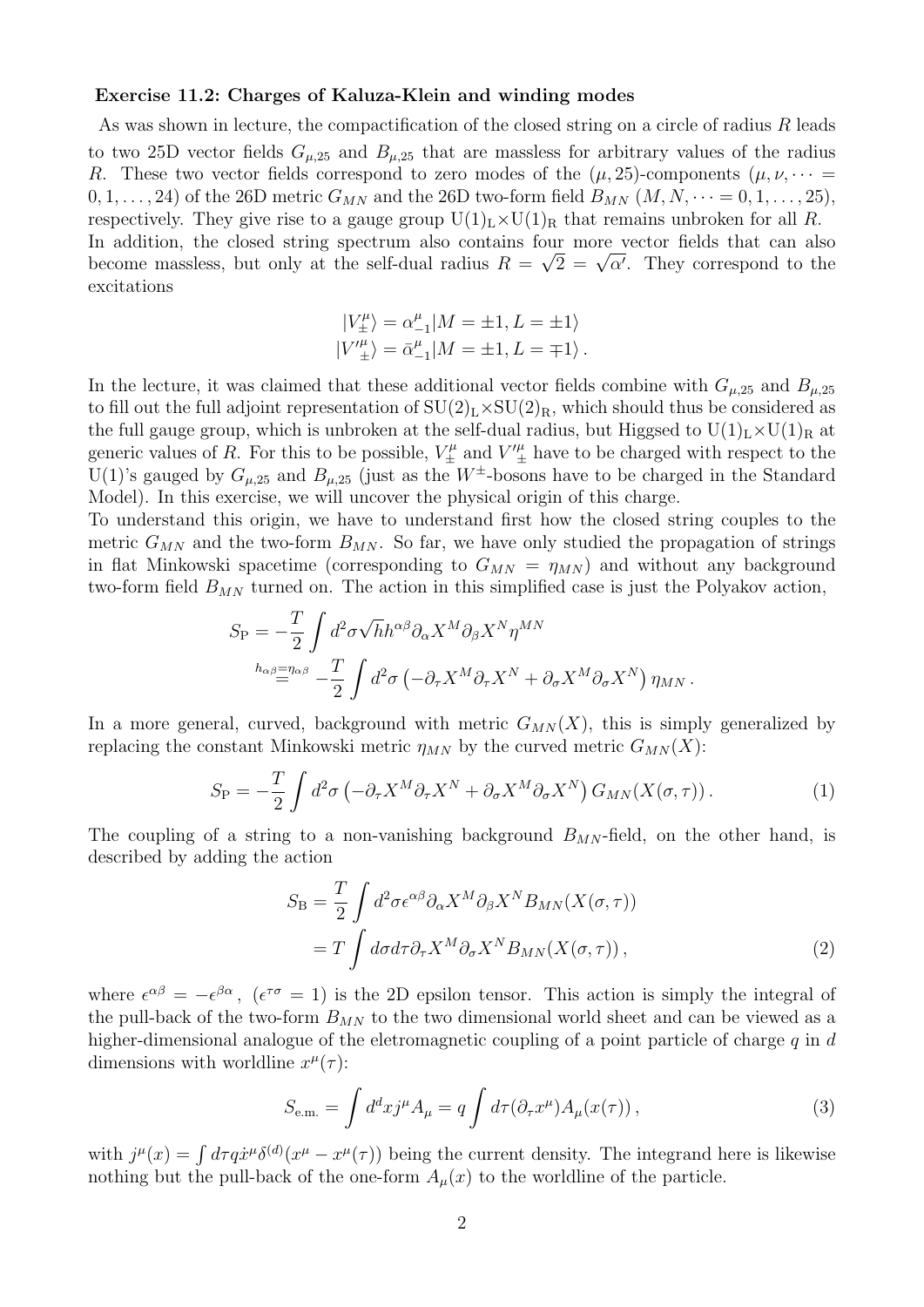## Exercise 11.2: Charges of Kaluza-Klein and winding modes

As was shown in lecture, the compactification of the closed string on a circle of radius R leads to two 25D vector fields  $G_{\mu,25}$  and  $B_{\mu,25}$  that are massless for arbitrary values of the radius R. These two vector fields correspond to zero modes of the  $(\mu, 25)$ -components  $(\mu, \nu, \dots)$  $(0, 1, \ldots, 24)$  of the 26D metric  $G_{MN}$  and the 26D two-form field  $B_{MN}$   $(M, N, \cdots = 0, 1, \ldots, 25)$ , respectively. They give rise to a gauge group  $U(1)_L \times U(1)_R$  that remains unbroken for all R. In addition, the closed string spectrum also contains four more vector fields that can also in addition, the closed string spectrum also contains four more vector fields that can also<br>become massless, but only at the self-dual radius  $R = \sqrt{2} = \sqrt{\alpha'}$ . They correspond to the excitations

$$
\begin{split} |V_\pm^\mu\rangle &= \alpha_{-1}^\mu |M=\pm 1,L=\pm 1\rangle\\ |V'^\mu_\pm\rangle &= \bar\alpha_{-1}^\mu |M=\pm 1,L=\mp 1\rangle\,. \end{split}
$$

In the lecture, it was claimed that these additional vector fields combine with  $G_{\mu,25}$  and  $B_{\mu,25}$ to fill out the full adjoint representation of  $SU(2)_L \times SU(2)_R$ , which should thus be considered as the full gauge group, which is unbroken at the self-dual radius, but Higgsed to  $U(1)_L \times U(1)_R$  at generic values of R. For this to be possible,  $V_{\pm}^{\mu}$  and  $V_{\pm}^{\mu}$  have to be charged with respect to the U(1)'s gauged by  $G_{\mu,25}$  and  $B_{\mu,25}$  (just as the  $W^{\pm}$ -bosons have to be charged in the Standard Model). In this exercise, we will uncover the physical origin of this charge.

To understand this origin, we have to understand first how the closed string couples to the metric  $G_{MN}$  and the two-form  $B_{MN}$ . So far, we have only studied the propagation of strings in flat Minkowski spacetime (corresponding to  $G_{MN} = \eta_{MN}$ ) and without any background two-form field  $B_{MN}$  turned on. The action in this simplified case is just the Polyakov action,

$$
S_{\rm P} = -\frac{T}{2} \int d^2 \sigma \sqrt{h} h^{\alpha \beta} \partial_\alpha X^M \partial_\beta X^N \eta^{MN}
$$
  
\n
$$
{}^{h_{\alpha \beta} = \eta_{\alpha \beta}} - \frac{T}{2} \int d^2 \sigma \left( -\partial_\tau X^M \partial_\tau X^N + \partial_\sigma X^M \partial_\sigma X^N \right) \eta_{MN}.
$$

In a more general, curved, background with metric  $G_{MN}(X)$ , this is simply generalized by replacing the constant Minkowski metric  $\eta_{MN}$  by the curved metric  $G_{MN}(X)$ :

$$
S_{\rm P} = -\frac{T}{2} \int d^2 \sigma \left( -\partial_\tau X^M \partial_\tau X^N + \partial_\sigma X^M \partial_\sigma X^N \right) G_{MN}(X(\sigma, \tau)). \tag{1}
$$

The coupling of a string to a non-vanishing background  $B_{MN}$ -field, on the other hand, is described by adding the action

$$
S_{\rm B} = \frac{T}{2} \int d^2 \sigma \epsilon^{\alpha \beta} \partial_{\alpha} X^M \partial_{\beta} X^N B_{MN}(X(\sigma, \tau))
$$
  
=  $T \int d\sigma d\tau \partial_{\tau} X^M \partial_{\sigma} X^N B_{MN}(X(\sigma, \tau)),$  (2)

where  $\epsilon^{\alpha\beta} = -\epsilon^{\beta\alpha}$ ,  $(\epsilon^{\tau\sigma} = 1)$  is the 2D epsilon tensor. This action is simply the integral of the pull-back of the two-form  $B_{MN}$  to the two dimensional world sheet and can be viewed as a higher-dimensional analogue of the eletromagnetic coupling of a point particle of charge  $q$  in  $d$ dimensions with worldline  $x^{\mu}(\tau)$ :

$$
S_{\text{e.m.}} = \int d^d x j^\mu A_\mu = q \int d\tau (\partial_\tau x^\mu) A_\mu(x(\tau)) \,, \tag{3}
$$

with  $j^{\mu}(x) = \int d\tau \dot{q} \dot{x}^{\mu} \delta^{(d)}(x^{\mu} - x^{\mu}(\tau))$  being the current density. The integrand here is likewise nothing but the pull-back of the one-form  $A_\mu(x)$  to the worldline of the particle.